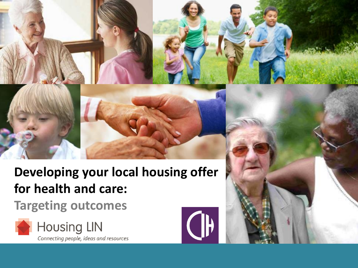# **Developing your local housing offer for health and care:**

## **Targeting outcomes**





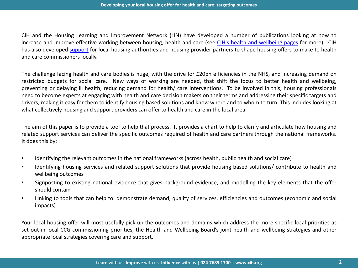CIH and the Housing Learning and Improvement Network (LIN) have developed a [n](http://www.cih.co.uk/policy/display/vpathDCR/templatedata/cih/policy/data/Health_and_care_-_the_role_of_housing)umb[er](http://www.cih.co.uk/policy/display/vpathDCR/templatedata/cih/policy/data/Health_and_care_-_the_role_of_housing) of publicati[on](http://www.cih.co.uk/policy/display/vpathDCR/templatedata/cih/policy/data/Health_and_care_-_the_role_of_housing)s looking at how to increase and improve effective working between housing, health and care (see [CIH's](http://www.cih.co.uk/policy/display/vpathDCR/templatedata/cih/policy/data/Health_and_care_-_the_role_of_housing) [health](http://www.cih.co.uk/policy/display/vpathDCR/templatedata/cih/policy/data/Health_and_care_-_the_role_of_housing) [and](http://www.cih.co.uk/policy/display/vpathDCR/templatedata/cih/policy/data/Health_and_care_-_the_role_of_housing) [wellbeing](http://www.cih.co.uk/policy/display/vpathDCR/templatedata/cih/policy/data/Health_and_care_-_the_role_of_housing) [pages](http://www.cih.co.uk/policy/display/vpathDCR/templatedata/cih/policy/data/Health_and_care_-_the_role_of_housing) for more). CIH has also developed [support](http://www.cih.co.uk/consultancyservices/healthandwellbeing) for local housing authorities and housing provider partners to shape housing offers to make to health and care commissioners locally.

The challenge facing health and care bodies is huge, with the drive for £20bn efficiencies in the NHS, and increasing demand on restricted budgets for social care. New ways of working are needed, that shift the focus to better health and wellbeing, preventing or delaying ill health, reducing demand for health/ care interventions. To be involved in this, housing professionals need to become experts at engaging with health and care decision makers on their terms and addressing their specific targets and drivers; making it easy for them to identify housing based solutions and know where and to whom to turn. This includes looking at what collectively housing and support providers can offer to health and care in the local area.

The aim of this paper is to provide a tool to help that process. It provides a chart to help to clarify and articulate how housing and related support services can deliver the specific outcomes required of health and care partners through the national frameworks. It does this by:

- Identifying the relevant outcomes in the national frameworks (across health, public health and social care)
- Identifying housing services and related support solutions that provide housing based solutions/ contribute to health and wellbeing outcomes
- Signposting to existing national evidence that gives background evidence, and modelling the key elements that the offer should contain
- Linking to tools that can help to: demonstrate demand, quality of services, efficiencies and outcomes (economic and social impacts)

Your local housing offer will most usefully pick up the outcomes and domains which address the more specific local priorities as set out in local CCG commissioning priorities, the Health and Wellbeing Board's joint health and wellbeing strategies and other appropriate local strategies covering care and support.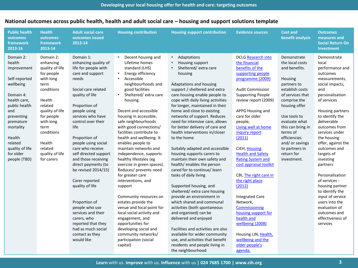| <b>Public health</b><br><b>outcomes</b><br>framework<br>2013-16                                                                                                                                                                    | <b>Health</b><br>outcomes<br>framework<br>2013-14                                                                                                                                                                                         | <b>Adult social care</b><br>outcomes issued<br>2013-14                                                                                                                                                                                                                                                                                                                                                                                                                                                                                                                   | <b>Housing contribution</b>                                                                                                                                                                                                                                                                                                                                                                                                                                                                                                                                                                                                                                                                                                                                                                                        | <b>Housing support contribution</b>                                                                                                                                                                                                                                                                                                                                                                                                                                                                                                                                                                                                                                                                                                                                                                                                                                                                                                                                                                       | <b>Evidence sources</b>                                                                                                                                                                                                                                                                                                                                                                                                                                                                                                                                                                                                                       | <b>Cost and</b><br>benefit analysis                                                                                                                                                                                                                                                                   | <b>Outcomes</b><br>measures and<br><b>Social Return On</b><br><b>Investment</b>                                                                                                                                                                                                                                                                                                                                                                                                                        |
|------------------------------------------------------------------------------------------------------------------------------------------------------------------------------------------------------------------------------------|-------------------------------------------------------------------------------------------------------------------------------------------------------------------------------------------------------------------------------------------|--------------------------------------------------------------------------------------------------------------------------------------------------------------------------------------------------------------------------------------------------------------------------------------------------------------------------------------------------------------------------------------------------------------------------------------------------------------------------------------------------------------------------------------------------------------------------|--------------------------------------------------------------------------------------------------------------------------------------------------------------------------------------------------------------------------------------------------------------------------------------------------------------------------------------------------------------------------------------------------------------------------------------------------------------------------------------------------------------------------------------------------------------------------------------------------------------------------------------------------------------------------------------------------------------------------------------------------------------------------------------------------------------------|-----------------------------------------------------------------------------------------------------------------------------------------------------------------------------------------------------------------------------------------------------------------------------------------------------------------------------------------------------------------------------------------------------------------------------------------------------------------------------------------------------------------------------------------------------------------------------------------------------------------------------------------------------------------------------------------------------------------------------------------------------------------------------------------------------------------------------------------------------------------------------------------------------------------------------------------------------------------------------------------------------------|-----------------------------------------------------------------------------------------------------------------------------------------------------------------------------------------------------------------------------------------------------------------------------------------------------------------------------------------------------------------------------------------------------------------------------------------------------------------------------------------------------------------------------------------------------------------------------------------------------------------------------------------------|-------------------------------------------------------------------------------------------------------------------------------------------------------------------------------------------------------------------------------------------------------------------------------------------------------|--------------------------------------------------------------------------------------------------------------------------------------------------------------------------------------------------------------------------------------------------------------------------------------------------------------------------------------------------------------------------------------------------------------------------------------------------------------------------------------------------------|
| Domain 2:<br>health<br>improvement<br>Self-reported<br>wellbeing<br>Domain 4:<br>health care,<br>public health<br>and<br>preventing<br>premature<br>mortality<br>Health<br>related<br>quality of life<br>for older<br>people (TBD) | Domain 2:<br>enhancing<br>quality of life<br>for people<br>with long<br>term<br>conditions<br>Health<br>related<br>quality of life<br>for people<br>with long<br>term<br>conditions<br>Health<br>related<br>quality of life<br>for carers | Domain 1:<br>enhancing quality of<br>life for people with<br>care and support<br>needs<br>Social care related<br>quality of life<br>Proportion of<br>people using<br>services who have<br>control over their<br>life<br>Proportion of<br>people using social<br>care who receive<br>self directed support<br>and those receiving<br>direct payments (to<br>be revised 2014/15)<br>Carer reported<br>quality of life<br>Proportion of<br>people who use<br>services and their<br>carers, who<br>reported that they<br>had as much social<br>contact as they<br>would like | Decent housing and<br>Lifetime homes<br>standard (LHS)<br>Energy efficiency<br>$\bullet$<br>Accessible<br>neighbourhoods and<br>good facilities<br>$\bullet$<br>Sheltered/extra care<br>housing<br>Decent and accessible<br>housing in accessible,<br>safe neighbourhoods<br>with good connections/<br>facilities contribute to<br>health and wellbeing. It<br>enables people to<br>maintain networks and<br>independence, supports<br>healthy lifestyles (eg<br>exercise in green spaces).<br>Reduces/ prevents need<br>for greater care<br>interventions, and<br>support<br>Community resources on<br>estates provide the<br>venue and focal point for<br>local social activity and<br>engagement, and<br>opportunities for<br>developing social and<br>community networks/<br>participation (social<br>capital) | Adaptations<br>$\bullet$<br>Housing support<br>Sheltered/extra care<br>housing<br>Adaptations and housing<br>support / sheltered and extra<br>care housing enable people to<br>cope with daily living activities<br>for longer, maintained in their<br>home and close to existing<br>networks of support. Reduces<br>need for intensive care, allows<br>for better delivery of care and<br>health interventions in/closer<br>to the home<br>Suitably adapted and accessible<br>housing supports carers to<br>maintain their own safety and<br>health/ enables the person<br>cared for to continue/ learn<br>tasks of daily living<br>Supported housing, and<br>sheltered/extra care housing<br>provide an environment in<br>which shared and communal<br>activities (both spontaneous<br>and organised) can be<br>delivered and enjoyed<br>Facilities and activities are also<br>available for wider community<br>use, and activities that benefit<br>residents and people living in<br>the neighbourhood | <b>DCLG Research into</b><br>the financial<br>benefits of the<br>supporting people<br>programme (2009)<br><b>Audit Commission</b><br><b>Supporting People</b><br>review report (2009)<br>APPG Housing and<br>care for older<br>people,<br>Living well at home<br>inquiry report<br>(2011)<br>CIEH, Housing<br><b>Health and Safety</b><br><b>Rating System and</b><br>cost appraisal toolkit<br>CBI, The right care in<br>the right place<br>(2012)<br><b>Integrated Care</b><br>Network,<br>Commissioning<br>housing support for<br>health and<br>wellbeing (2008)<br>Housing LIN, Health,<br>wellbeing and the<br>older people's<br>agenda. | Demonstrate<br>the local costs<br>and benefits.<br>Housing<br>partners to<br>establish costs<br>of services that<br>comprise the<br>housing offer<br>Use tools to<br>evaluate what<br>this can bring in<br>terms of<br>efficiencies<br>and/ or savings<br>to partners in<br>return for<br>investment. | Demonstrate<br>local<br>performance and<br>outcomes<br>measurements,<br>social impacts,<br>and<br>personalisation<br>of services<br>Housing partners<br>to identify the<br>deliverable<br>outcomes from<br>services under<br>the housing<br>offer, against the<br>outcomes and<br>targets of<br>investing<br>partners<br>Personalisation<br>of services -<br>housing partner<br>to identify the<br>input of service<br>users into the<br>evaluation of<br>outcomes and<br>effectiveness of<br>services |

**Learn** with us. **Improve** with us. **Influence** with us **| 024 7685 1700 | www.cih.org**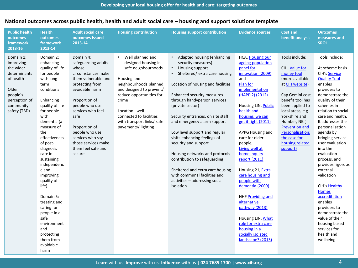| <b>Public health</b><br>outcomes<br>framework<br>2013-16                                                                            | <b>Health</b><br>outcomes<br>framework<br>2013-14                                                                                                                                                                                                                                                                                                                                                                                                           | <b>Adult social care</b><br>outcomes issued<br>2013-14                                                                                                                                                                                                                                                    | <b>Housing contribution</b>                                                                                                                                                                                                                                                              | <b>Housing support contribution</b>                                                                                                                                                                                                                                                                                                                                                                                                                                                                                                                                              | <b>Evidence sources</b>                                                                                                                                                                                                                                                                                                                                                                                                                                                                                                                                   | <b>Cost and</b><br>benefit analysis                                                                                                                                                                                                                                                      | <b>Outcomes</b><br>measures and<br><b>SROI</b>                                                                                                                                                                                                                                                                                                                                                                                                                                                                                                                               |
|-------------------------------------------------------------------------------------------------------------------------------------|-------------------------------------------------------------------------------------------------------------------------------------------------------------------------------------------------------------------------------------------------------------------------------------------------------------------------------------------------------------------------------------------------------------------------------------------------------------|-----------------------------------------------------------------------------------------------------------------------------------------------------------------------------------------------------------------------------------------------------------------------------------------------------------|------------------------------------------------------------------------------------------------------------------------------------------------------------------------------------------------------------------------------------------------------------------------------------------|----------------------------------------------------------------------------------------------------------------------------------------------------------------------------------------------------------------------------------------------------------------------------------------------------------------------------------------------------------------------------------------------------------------------------------------------------------------------------------------------------------------------------------------------------------------------------------|-----------------------------------------------------------------------------------------------------------------------------------------------------------------------------------------------------------------------------------------------------------------------------------------------------------------------------------------------------------------------------------------------------------------------------------------------------------------------------------------------------------------------------------------------------------|------------------------------------------------------------------------------------------------------------------------------------------------------------------------------------------------------------------------------------------------------------------------------------------|------------------------------------------------------------------------------------------------------------------------------------------------------------------------------------------------------------------------------------------------------------------------------------------------------------------------------------------------------------------------------------------------------------------------------------------------------------------------------------------------------------------------------------------------------------------------------|
| Domain 1:<br>improving<br>the wider<br>determinants<br>of health<br>Older<br>people's<br>perception of<br>community<br>safety (TBD) | Domain 2:<br>enhancing<br>quality of life<br>for people<br>with long<br>term<br>conditions<br>Enhancing<br>quality of life<br>for people<br>with<br>dementia (a<br>measure of<br>the<br>effectiveness<br>of post-<br>diagnosis<br>care in<br>sustaining<br>independenc<br>e and<br>improving<br>quality of<br>life)<br>Domain 5:<br>treating and<br>caring for<br>people in a<br>safe<br>environment<br>and<br>protecting<br>them from<br>avoidable<br>harm | Domain 4:<br>safeguarding adults<br>whose<br>circumstances make<br>them vulnerable and<br>protecting from<br>avoidable harm<br>Proportion of<br>people who use<br>services who feel<br>safe<br>Proportion of<br>people who use<br>services who say<br>those services make<br>them feel safe and<br>secure | Well planned and<br>$\bullet$<br>designed housing in<br>safe neighbourhoods<br>Housing and<br>neighbourhoods planned<br>and designed to prevent/<br>reduce opportunities for<br>crime<br>Location - well<br>connected to facilities<br>with transport links/ safe<br>pavements/ lighting | • Adapted housing (enhancing<br>security measures)<br>Housing support<br>Sheltered/ extra care housing<br>Location of housing and facilities<br>Enhanced security measures<br>through handyperson services<br>(private sector)<br>Security entrances, on site staff<br>and emergency alarm support<br>Low level support and regular<br>visits enhancing feelings of<br>security and support<br>Housing networks and protocols<br>contribution to safeguarding<br>Sheltered and extra care housing<br>with communal facilities and<br>activities - addressing social<br>isolation | HCA, Housing our<br>ageing population<br>panel for<br>innovation (2009)<br>and<br>Plan for<br>implementation<br>(HAPPI2) (2012)<br>Housing LIN, Public<br>health and<br>housing: we can<br>get it right (2011)<br>APPG Housing and<br>care for older<br>people,<br>Living well at<br>home inquiry<br>report (2011)<br>Housing 21, Extra<br>care housing and<br>people with<br>dementia (2009)<br>NHF Providing and<br>alternative<br>pathway (2013)<br>Housing LIN, What<br>role for extra care<br>housing in a<br>socially isolated<br>landscape? (2013) | Tools include:<br>CIH, Value for<br>money tool<br>(more available<br>at CIH website)<br>Cap Gemini cost<br>benefit tool has<br>been applied to<br>local areas, e.g<br>Yorkshire and<br>Humber, NE.(<br>Prevention and<br>Personalisation:<br>the case for<br>housing related<br>support) | Tools include:<br>At scheme basis<br><b>CIH's Service</b><br><b>Quality Tool</b><br>enables<br>providers to<br>demonstrate the<br>quality of their<br>schemes in<br>relation to social<br>care and health.<br>It addresses the<br>personalisation<br>agenda by<br>bringing service<br>user evaluation<br>into the<br>evaluation<br>process, and<br>provides rigorous<br>external<br>validation<br>CIH's Healthy<br><b>Homes</b><br>accreditation<br>enables<br>providers to<br>demonstrate the<br>value of their<br>housing based<br>services for<br>health and<br>wellbeing |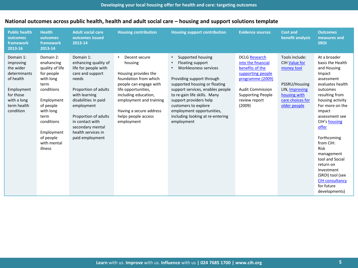| <b>Public health</b><br>outcomes<br>framework<br>2013-16                                                                               | <b>Health</b><br>outcomes<br>framework<br>2013-14                                                                                                                                                              | <b>Adult social care</b><br>outcomes issued<br>2013-14                                                                                                                                                                                                                        | <b>Housing contribution</b>                                                                                                                                                                                                                   | <b>Housing support contribution</b>                                                                                                                                                                                                                                                                                               | <b>Evidence sources</b>                                                                                                                                                           | <b>Cost and</b><br>benefit analysis                                                                                                         | <b>Outcomes</b><br>measures and<br><b>SROI</b>                                                                                                                                                                                                                                                                                                                                                             |
|----------------------------------------------------------------------------------------------------------------------------------------|----------------------------------------------------------------------------------------------------------------------------------------------------------------------------------------------------------------|-------------------------------------------------------------------------------------------------------------------------------------------------------------------------------------------------------------------------------------------------------------------------------|-----------------------------------------------------------------------------------------------------------------------------------------------------------------------------------------------------------------------------------------------|-----------------------------------------------------------------------------------------------------------------------------------------------------------------------------------------------------------------------------------------------------------------------------------------------------------------------------------|-----------------------------------------------------------------------------------------------------------------------------------------------------------------------------------|---------------------------------------------------------------------------------------------------------------------------------------------|------------------------------------------------------------------------------------------------------------------------------------------------------------------------------------------------------------------------------------------------------------------------------------------------------------------------------------------------------------------------------------------------------------|
| Domain 1:<br>improving<br>the wider<br>determinants<br>of health<br>Employment<br>for those<br>with a long<br>term health<br>condition | Domain 2:<br>enahancing<br>quality of life<br>for people<br>with long<br>term<br>conditions<br>Employment<br>of people<br>with long<br>term<br>conditions<br>Employment<br>of people<br>with mental<br>illness | Domain 1:<br>enhancing quality of<br>life for people with<br>care and support<br>needs<br>Proportion of adults<br>with learning<br>disabilities in paid<br>employment<br>Proportion of adults<br>in contact with<br>secondary mental<br>health services in<br>paid employment | Decent secure<br>housing<br>Housing provides the<br>foundation from which<br>people can engage with<br>life opportunities,<br>including education,<br>employment and training<br>Having a secure address<br>helps people access<br>employment | Supported housing<br>Floating support<br>Worklessness services<br>Providing support through<br>supported housing or floating<br>support services, enables people<br>to re-gain life skills. Many<br>support providers help<br>customers to explore<br>employment opportunities,<br>including looking at re-entering<br>employment | DCLG Research<br>into the financial<br>benefits of the<br>supporting people<br>programme (2009)<br><b>Audit Commission</b><br><b>Supporting People</b><br>review report<br>(2009) | Tools include:<br><b>CIH Value for</b><br>money tool<br>PSSRU/Housing<br>LIN, Improving<br>housing with<br>care choices for<br>older people | At a broader<br>basis the Health<br>and Housing<br>Impact<br>assessment<br>evaluates health<br>outcomes<br>resulting from<br>housing activity<br>For more on the<br>impact<br>assessment see<br>CIH's housing<br>offer<br>Forthcoming<br>from CIH:<br><b>Risk</b><br>management<br>tool and Social<br>return on<br>Investment<br>(SROI) tool (see<br><b>CIH consultancy</b><br>for future<br>developments) |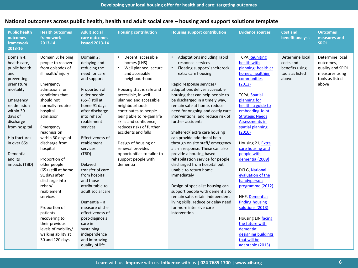| <b>Public health</b><br>outcomes<br>framework<br>2013-16                                                                                                                                                                                            | <b>Health outcomes</b><br>framework<br>2013-14                                                                                                                                                                                                                                                                                                                                                                                                                                                                                              | <b>Adult social</b><br>care outcomes<br><b>issued 2013-14</b>                                                                                                                                                                                                                                                                                                                                                                                                                                                                  | <b>Housing contribution</b>                                                                                                                                                                                                                                                                                                                                                                                                                                            | <b>Housing support contribution</b>                                                                                                                                                                                                                                                                                                                                                                                                                                                                                                                                                                                                                                                                                                                                                                                                                           | <b>Evidence sources</b>                                                                                                                                                                                                                                                                                                                                                                                                                                                                                                                                                                                   | <b>Cost and</b><br>benefit analysis                                        | <b>Outcomes</b><br>measures and<br>SROI                                                        |
|-----------------------------------------------------------------------------------------------------------------------------------------------------------------------------------------------------------------------------------------------------|---------------------------------------------------------------------------------------------------------------------------------------------------------------------------------------------------------------------------------------------------------------------------------------------------------------------------------------------------------------------------------------------------------------------------------------------------------------------------------------------------------------------------------------------|--------------------------------------------------------------------------------------------------------------------------------------------------------------------------------------------------------------------------------------------------------------------------------------------------------------------------------------------------------------------------------------------------------------------------------------------------------------------------------------------------------------------------------|------------------------------------------------------------------------------------------------------------------------------------------------------------------------------------------------------------------------------------------------------------------------------------------------------------------------------------------------------------------------------------------------------------------------------------------------------------------------|---------------------------------------------------------------------------------------------------------------------------------------------------------------------------------------------------------------------------------------------------------------------------------------------------------------------------------------------------------------------------------------------------------------------------------------------------------------------------------------------------------------------------------------------------------------------------------------------------------------------------------------------------------------------------------------------------------------------------------------------------------------------------------------------------------------------------------------------------------------|-----------------------------------------------------------------------------------------------------------------------------------------------------------------------------------------------------------------------------------------------------------------------------------------------------------------------------------------------------------------------------------------------------------------------------------------------------------------------------------------------------------------------------------------------------------------------------------------------------------|----------------------------------------------------------------------------|------------------------------------------------------------------------------------------------|
| Domain 4:<br>health care,<br>public health<br>and<br>preventing<br>premature<br>mortality<br>Emergency<br>readmission<br>within 30<br>days of<br>discharge<br>from hospital<br>Hip fractures<br>in over 65s<br>Dementia<br>and its<br>impacts (TBD) | Domain 3: helping<br>people to recover<br>from episodes of<br>ill health/ injury<br>Emergency<br>admissions for<br>conditions that<br>should not<br>normally require<br>hospital<br>admission<br>Emergency<br>readmission<br>within 30 days of<br>discharge from<br>hospital<br>Proportion of<br>older people<br>(65+) still at home<br>91 days after<br>discharge into<br>rehab/<br>reablement<br>services<br>Proportion of<br>patients<br>recovering to<br>their previous<br>levels of mobility/<br>walking ability at<br>30 and 120 days | Domain 2:<br>delaying and<br>reducing the<br>need for care<br>and support<br>Proportion of<br>older people<br>$(65+)$ still at<br>home 91 days<br>after discharge<br>into rehab/<br>reablement<br>services<br>Effectiveness of<br>reablement<br>services<br>(TBD)<br>Delayed<br>transfer of care<br>from hospital,<br>and those<br>attributable to<br>adult social care<br>Dementia $-$ a<br>measure of the<br>effectiveness of<br>post-diagnosis<br>care in<br>sustaining<br>independence<br>and improving<br>quality of life | Decent, accessible<br>$\bullet$<br>homes (LHS)<br>Well planned, secure<br>$\bullet$<br>and accessible<br>neighbourhood<br>Housing that is safe and<br>accessible, in well<br>planned and accessible<br>neighbourhoods<br>contributes to people<br>being able to re-gain life<br>skills and confidence,<br>reduces risks of further<br>accidents and falls<br>Design of housing or<br>renewal provides<br>opportunities to tailor to<br>support people with<br>dementia | • Adaptations including rapid<br>response services<br>Floating support/ sheltered/<br>$\bullet$<br>extra care housing<br>Rapid response services/<br>adaptations deliver accessible<br>housing that can help people to<br>be discharged in a timely way,<br>remain safe at home, reduce<br>need for ongoing and costly care<br>interventions, and reduce risk of<br>further accidents<br>Sheltered/extra care housing<br>can provide additional help<br>through on site staff/emergency<br>alarm response. These can also<br>provide a housing based<br>rehabilitation service for people<br>discharged from hospital but<br>unable to return home<br>immediately<br>Design of specialist housing can<br>support people with dementia to<br>remain safe, retain independent<br>living skills, reduce or delay need<br>for more intensive care<br>intervention | <b>TCPA Reuniting</b><br>health with<br>planning: healthier<br>homes, healthier<br>communities<br>(2012)<br>TCPA, Spatial<br>planning for<br>health: a guide to<br>embedding Joint<br><b>Strategic Needs</b><br><b>Assessments in</b><br>spatial planning<br>(2010)<br>Housing 21, Extra<br>care housing and<br>people with<br>dementia (2009)<br><b>DCLG, National</b><br>evaluation of the<br>handyperson<br>programme (2012)<br>NHF, Dementia:<br>finding housing<br>solutions (2013)<br>Housing LIN facing<br>the future with<br>dementia:<br>designing buildings<br>that will be<br>adaptable (2013) | Determine local<br>costs and<br>benefits using<br>tools as listed<br>above | Determine local<br>outcomes,<br>quality and SROI<br>measures using<br>tools as listed<br>above |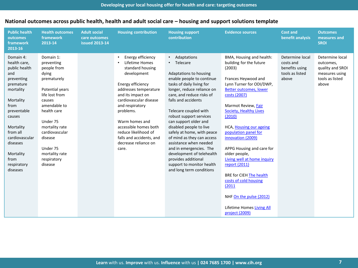| <b>Public health</b><br>outcomes<br>framework<br>2013-16                                                                                                                                                                                       | <b>Health outcomes</b><br>framework<br>2013-14                                                                                                                                                                                                                  | <b>Adult social</b><br>care outcomes<br><b>issued 2013-14</b> | <b>Housing contribution</b>                                                                                                                                                                                                                                                                                                              | <b>Housing support</b><br>contribution                                                                                                                                                                                                                                                                                                                                                                                                                                                                                                           | <b>Evidence sources</b>                                                                                                                                                                                                                                                                                                                                                                                                                                                                                                                           | <b>Cost and</b><br>benefit analysis                                        | <b>Outcomes</b><br>measures and<br><b>SROI</b>                                                 |
|------------------------------------------------------------------------------------------------------------------------------------------------------------------------------------------------------------------------------------------------|-----------------------------------------------------------------------------------------------------------------------------------------------------------------------------------------------------------------------------------------------------------------|---------------------------------------------------------------|------------------------------------------------------------------------------------------------------------------------------------------------------------------------------------------------------------------------------------------------------------------------------------------------------------------------------------------|--------------------------------------------------------------------------------------------------------------------------------------------------------------------------------------------------------------------------------------------------------------------------------------------------------------------------------------------------------------------------------------------------------------------------------------------------------------------------------------------------------------------------------------------------|---------------------------------------------------------------------------------------------------------------------------------------------------------------------------------------------------------------------------------------------------------------------------------------------------------------------------------------------------------------------------------------------------------------------------------------------------------------------------------------------------------------------------------------------------|----------------------------------------------------------------------------|------------------------------------------------------------------------------------------------|
| Domain 4:<br>health care,<br>public health<br>and<br>preventing<br>premature<br>mortality<br>Mortality<br>from<br>preventable<br>causes<br>Mortality<br>from all<br>cardiovascular<br>diseases<br>Mortality<br>from<br>respiratory<br>diseases | Domain 1:<br>preventing<br>people from<br>dying<br>prematurely<br>Potential years<br>life lost from<br>causes<br>amendable to<br>health care<br>Under 75<br>mortality rate<br>cardiovascular<br>disease<br>Under 75<br>mortality rate<br>respiratory<br>disease |                                                               | Energy efficiency<br>٠<br>Lifetime Homes<br>standard housing<br>development<br>Energy efficiency<br>addresses temperature<br>and its impact on<br>cardiovascular disease<br>and respiratory<br>problems.<br>Warm homes and<br>accessible homes both<br>reduce likelihood of<br>falls and accidents, and<br>decrease reliance on<br>care. | Adaptations<br>$\bullet$<br>Telecare<br>Adaptations to housing<br>enable people to continue<br>tasks of daily living for<br>longer, reduce reliance on<br>care, and reduce risks of<br>falls and accidents<br>Telecare coupled with<br>robust support services<br>can support older and<br>disabled people to live<br>safely at home, with peace<br>of mind as they can access<br>assistance when needed<br>and in emergencies. The<br>development of telehealth<br>provides additional<br>support to monitor health<br>and long term conditions | BMA, Housing and health:<br>building for the future<br>(2003)<br>Frances Heywood and<br>Lynn Turner for ODI/DWP,<br>Better outcomes, lower<br>costs (2007)<br>Marmot Review, Fair<br><b>Society, Healthy Lives</b><br>(2010)<br>HCA, Housing our ageing<br>population panel for<br>innovation (2009)<br>APPG Housing and care for<br>older people,<br>Living well at home inquiry<br>report (2011)<br><b>BRE for CIEH The health</b><br>costs of cold housing<br>(2011)<br>NHF On the pulse (2012)<br>Lifetime Homes Living All<br>project (2009) | Determine local<br>costs and<br>benefits using<br>tools as listed<br>above | Determine local<br>outcomes,<br>quality and SROI<br>measures using<br>tools as listed<br>above |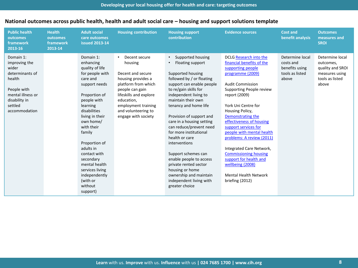| <b>Public health</b><br>outcomes<br>framework<br>2013-16                                                                                          | <b>Health</b><br>outcomes<br>framework<br>2013-14 | <b>Adult social</b><br>care outcomes<br><b>issued 2013-14</b>                                                                                                                                                                                                                                                                                                    | <b>Housing contribution</b>                                                                                                                                                                                                | <b>Housing support</b><br>contribution                                                                                                                                                                                                                                                                                                                                                                                                                                                                                                                                | <b>Evidence sources</b>                                                                                                                                                                                                                                                                                                                                                                                                                                                                                        | <b>Cost and</b><br>benefit analysis                                        | <b>Outcomes</b><br>measures and<br><b>SROI</b>                                                 |
|---------------------------------------------------------------------------------------------------------------------------------------------------|---------------------------------------------------|------------------------------------------------------------------------------------------------------------------------------------------------------------------------------------------------------------------------------------------------------------------------------------------------------------------------------------------------------------------|----------------------------------------------------------------------------------------------------------------------------------------------------------------------------------------------------------------------------|-----------------------------------------------------------------------------------------------------------------------------------------------------------------------------------------------------------------------------------------------------------------------------------------------------------------------------------------------------------------------------------------------------------------------------------------------------------------------------------------------------------------------------------------------------------------------|----------------------------------------------------------------------------------------------------------------------------------------------------------------------------------------------------------------------------------------------------------------------------------------------------------------------------------------------------------------------------------------------------------------------------------------------------------------------------------------------------------------|----------------------------------------------------------------------------|------------------------------------------------------------------------------------------------|
| Domain 1:<br>improving the<br>wider<br>determinants of<br>health<br>People with<br>mental illness or<br>disability in<br>settled<br>accommodation |                                                   | Domain 1:<br>enhancing<br>quality of life<br>for people with<br>care and<br>support needs<br>Proportion of<br>people with<br>learning<br>disabilities<br>living in their<br>own home/<br>with their<br>family<br>Proportion of<br>adults in<br>contact with<br>secondary<br>mental health<br>services living<br>independently<br>(with or<br>without<br>support) | Decent secure<br>housing<br>Decent and secure<br>housing provides a<br>platform from which<br>people can gain<br>lifeskills and explore<br>education,<br>employment training<br>and volunteering to<br>engage with society | Supported housing<br>$\bullet$<br>Floating support<br>$\bullet$<br>Supported housing<br>followed by / or floating<br>support can enable people<br>to re/gain skills for<br>independent living to<br>maintain their own<br>tenancy and home life<br>Provision of support and<br>care in a housing setting<br>can reduce/prevent need<br>for more institutional<br>health or care<br>interventions<br>Support schemes can<br>enable people to access<br>private rented sector<br>housing or home<br>ownership and maintain<br>independent living with<br>greater choice | DCLG Research into the<br>financial benefits of the<br>supporting people<br>programme (2009)<br><b>Audit Commission</b><br>Supporting People review<br>report (2009)<br>York Uni Centre for<br>Housing Policy,<br>Demonstrating the<br>effectiveness of housing<br>support services for<br>people with mental health<br>problems: A review (2011)<br>Integrated Care Network,<br><b>Commissioning housing</b><br>support for health and<br>wellbeing (2008)<br><b>Mental Health Network</b><br>briefing (2012) | Determine local<br>costs and<br>benefits using<br>tools as listed<br>above | Determine local<br>outcomes,<br>quality and SROI<br>measures using<br>tools as listed<br>above |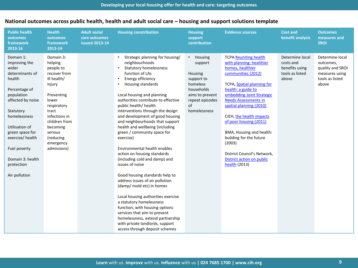| <b>Public health</b><br>outcomes<br>framework<br>2013-16                                                                                                                                                                                                    | <b>Health</b><br>outcomes<br>framework<br>2013-14                                                                                                                                                                           | <b>Adult social</b><br>care outcomes<br><b>issued 2013-14</b> | <b>Housing constribution</b>                                                                                                                                                                                                                                                                                                                                                                                                                                                                                                                                           | <b>Housing</b><br>support<br>contribution                                                                                                              | <b>Evidence sources</b>                                                                                                                                                                                                                                                                                                                                                                                                                                  | <b>Cost and</b><br>benefit analysis                                        | <b>Outcomes</b><br>measures and<br><b>SROI</b>                                                 |
|-------------------------------------------------------------------------------------------------------------------------------------------------------------------------------------------------------------------------------------------------------------|-----------------------------------------------------------------------------------------------------------------------------------------------------------------------------------------------------------------------------|---------------------------------------------------------------|------------------------------------------------------------------------------------------------------------------------------------------------------------------------------------------------------------------------------------------------------------------------------------------------------------------------------------------------------------------------------------------------------------------------------------------------------------------------------------------------------------------------------------------------------------------------|--------------------------------------------------------------------------------------------------------------------------------------------------------|----------------------------------------------------------------------------------------------------------------------------------------------------------------------------------------------------------------------------------------------------------------------------------------------------------------------------------------------------------------------------------------------------------------------------------------------------------|----------------------------------------------------------------------------|------------------------------------------------------------------------------------------------|
| Domain 1:<br>improving the<br>wider<br>determinants of<br>health<br>Percentage of<br>population<br>affected by noise<br>Statutory<br>homelessness<br>Utilisation of<br>green space for<br>exercise/health<br>Fuel poverty<br>Domain 3: health<br>protection | Domain 3:<br>helping<br>people to<br>recover from<br>ill health/<br>injury<br>Preventing<br>lower<br>respiratory<br>tract<br>infections in<br>children from<br>becoming<br>serious<br>(reducing<br>emergency<br>admissions) |                                                               | Strategic planning for housing/<br>neighbourhoods<br><b>Statutory homelessness</b><br>function of LAs<br>Energy efficiency<br>$\bullet$<br>Housing standards<br>Local housing and planning<br>authorities contribute to effective<br>public health/ health<br>interventions through the design<br>and development of good housing<br>and neighbourhoods that support<br>health and wellbeing (including<br>green / community space for<br>exercise)<br>Environmental health enables<br>action on housing standards<br>(including cold and damp) and<br>issues of noise | $\bullet$<br>Housing<br>support<br>Housing<br>support to<br>homeless<br>households<br>aims to prevent<br>repeat episodes<br>$\sigma$ f<br>homelessness | <b>TCPA Reuniting health</b><br>with planning: healthier<br>homes, healthier<br>communities (2012)<br><b>TCPA, Spatial planning for</b><br>health: a guide to<br>embedding Joint Strategic<br><b>Needs Assessments in</b><br>spatial planning (2010)<br>CIEH, the health impacts<br>of poor housing (2011)<br>BMA, Housing and health:<br>building for the future<br>(2003)<br>District Council's Network,<br>District action on public<br>health (2013) | Determine local<br>costs and<br>benefits using<br>tools as listed<br>above | Determine local<br>outcomes,<br>quality and SROI<br>measures using<br>tools as listed<br>above |
| Air pollution                                                                                                                                                                                                                                               |                                                                                                                                                                                                                             |                                                               | Good housing standards help to<br>address issues of air pollution<br>(damp/ mold etc) in homes<br>Local housing authorities exercise<br>a statutory homelessness<br>function, with housing options<br>services that aim to prevent<br>homelessness, extend partnership<br>with private landlords, support<br>access through deposit schemes                                                                                                                                                                                                                            |                                                                                                                                                        |                                                                                                                                                                                                                                                                                                                                                                                                                                                          |                                                                            |                                                                                                |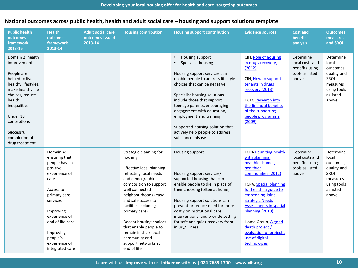| <b>Public health</b><br>outcomes<br>framework<br>2013-16                                                                                                                                                                             | <b>Health</b><br>outcomes<br>framework<br>2013-14                                                                                                                                                                                        | <b>Adult social care</b><br>outcomes issued<br>2013-14 | <b>Housing contribution</b>                                                                                                                                                                                                                                                                                                                                                      | <b>Housing support contribution</b>                                                                                                                                                                                                                                                                                                                                                                                     | <b>Evidence sources</b>                                                                                                                                                                                                                                                                                                                                          | <b>Cost and</b><br>benefit<br>analysis                                     | <b>Outcomes</b><br>measures<br>and SROI                                                                 |
|--------------------------------------------------------------------------------------------------------------------------------------------------------------------------------------------------------------------------------------|------------------------------------------------------------------------------------------------------------------------------------------------------------------------------------------------------------------------------------------|--------------------------------------------------------|----------------------------------------------------------------------------------------------------------------------------------------------------------------------------------------------------------------------------------------------------------------------------------------------------------------------------------------------------------------------------------|-------------------------------------------------------------------------------------------------------------------------------------------------------------------------------------------------------------------------------------------------------------------------------------------------------------------------------------------------------------------------------------------------------------------------|------------------------------------------------------------------------------------------------------------------------------------------------------------------------------------------------------------------------------------------------------------------------------------------------------------------------------------------------------------------|----------------------------------------------------------------------------|---------------------------------------------------------------------------------------------------------|
| Domain 2: health<br>improvement<br>People are<br>helped to live<br>healthy lifestyles,<br>make healthy life<br>choices, reduce<br>health<br>inequalities<br>Under 18<br>conceptions<br>Successful<br>completion of<br>drug treatment |                                                                                                                                                                                                                                          |                                                        |                                                                                                                                                                                                                                                                                                                                                                                  | Housing support<br>$\bullet$<br>Specialist housing<br>$\bullet$<br>Housing support services can<br>enable people to address lifestyle<br>choices that can be negative.<br>Specialist housing solutions<br>include those that support<br>teenage parents, encouraging<br>engagement with education,<br>employment and training<br>Supported housing solution that<br>actively help people to address<br>substance misuse | CIH, Role of housing<br>in drugs recovery,<br>(2012)<br>CIH, How to support<br>tenants in drugs<br>recovery (2013)<br><b>DCLG Research into</b><br>the financial benefits<br>of the supporting<br>people programme<br>(2009)                                                                                                                                     | Determine<br>local costs and<br>benefits using<br>tools as listed<br>above | Determine<br>local<br>outcomes,<br>quality and<br>SROI<br>measures<br>using tools<br>as listed<br>above |
|                                                                                                                                                                                                                                      | Domain 4:<br>ensuring that<br>people have a<br>positive<br>experience of<br>care<br>Access to<br>primary care<br>services<br>Improving<br>experience of<br>end of life care<br>Improving<br>people's<br>experience of<br>integrated care |                                                        | Strategic planning for<br>housing<br>Effective local planning<br>reflecting local needs<br>and demographic<br>composition to support<br>well connected<br>neighbourhoods (easy<br>and safe access to<br>facilities including<br>primary care)<br>Decent housing choices<br>that enable people to<br>remain in their local<br>community and<br>support networks at<br>end of life | Housing support<br>Housing support services/<br>supported housing that can<br>enable people to die in place of<br>their choosing (often at home)<br>Housing support solutions can<br>prevent or reduce need for more<br>costly or institutional care<br>interventions, and provide setting<br>for safe and quick recovery from<br>injury/illness                                                                        | <b>TCPA Reuniting health</b><br>with planning:<br>healthier homes,<br>healthier<br>communities (2012)<br>TCPA, Spatial planning<br>for health: a guide to<br>embedding Joint<br><b>Strategic Needs</b><br><b>Assessments in spatial</b><br>planning (2010)<br>Home Group, A good<br>death project /<br>evaluation of project's<br>use of digital<br>technologies | Determine<br>local costs and<br>benefits using<br>tools as listed<br>above | Determine<br>local<br>outcomes,<br>quality and<br>SROI<br>measures<br>using tools<br>as listed<br>above |